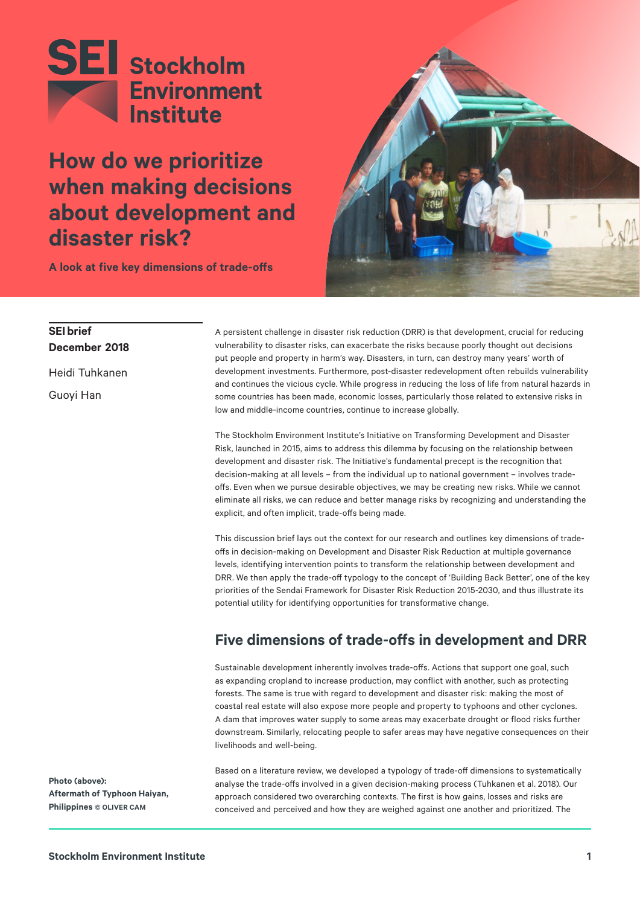

**How do we prioritize when making decisions about development and disaster risk?**



**A look at five key dimensions of trade-offs**

## **SEI brief December 2018**

Heidi Tuhkanen Guoyi Han

A persistent challenge in disaster risk reduction (DRR) is that development, crucial for reducing vulnerability to disaster risks, can exacerbate the risks because poorly thought out decisions put people and property in harm's way. Disasters, in turn, can destroy many years' worth of development investments. Furthermore, post-disaster redevelopment often rebuilds vulnerability and continues the vicious cycle. While progress in reducing the loss of life from natural hazards in some countries has been made, economic losses, particularly those related to extensive risks in low and middle-income countries, continue to increase globally.

The Stockholm Environment Institute's Initiative on Transforming Development and Disaster Risk, launched in 2015, aims to address this dilemma by focusing on the relationship between development and disaster risk. The Initiative's fundamental precept is the recognition that decision-making at all levels – from the individual up to national government – involves tradeoffs. Even when we pursue desirable objectives, we may be creating new risks. While we cannot eliminate all risks, we can reduce and better manage risks by recognizing and understanding the explicit, and often implicit, trade-offs being made.

This discussion brief lays out the context for our research and outlines key dimensions of tradeoffs in decision-making on Development and Disaster Risk Reduction at multiple governance levels, identifying intervention points to transform the relationship between development and DRR. We then apply the trade-off typology to the concept of 'Building Back Better', one of the key priorities of the Sendai Framework for Disaster Risk Reduction 2015-2030, and thus illustrate its potential utility for identifying opportunities for transformative change.

# **Five dimensions of trade-offs in development and DRR**

Sustainable development inherently involves trade-offs. Actions that support one goal, such as expanding cropland to increase production, may conflict with another, such as protecting forests. The same is true with regard to development and disaster risk: making the most of coastal real estate will also expose more people and property to typhoons and other cyclones. A dam that improves water supply to some areas may exacerbate drought or flood risks further downstream. Similarly, relocating people to safer areas may have negative consequences on their livelihoods and well-being.

**Photo (above): Aftermath of Typhoon Haiyan, Philippines © OLIVER CAM** 

Based on a literature review, we developed a typology of trade-off dimensions to systematically analyse the trade-offs involved in a given decision-making process (Tuhkanen et al. 2018). Our approach considered two overarching contexts. The first is how gains, losses and risks are conceived and perceived and how they are weighed against one another and prioritized. The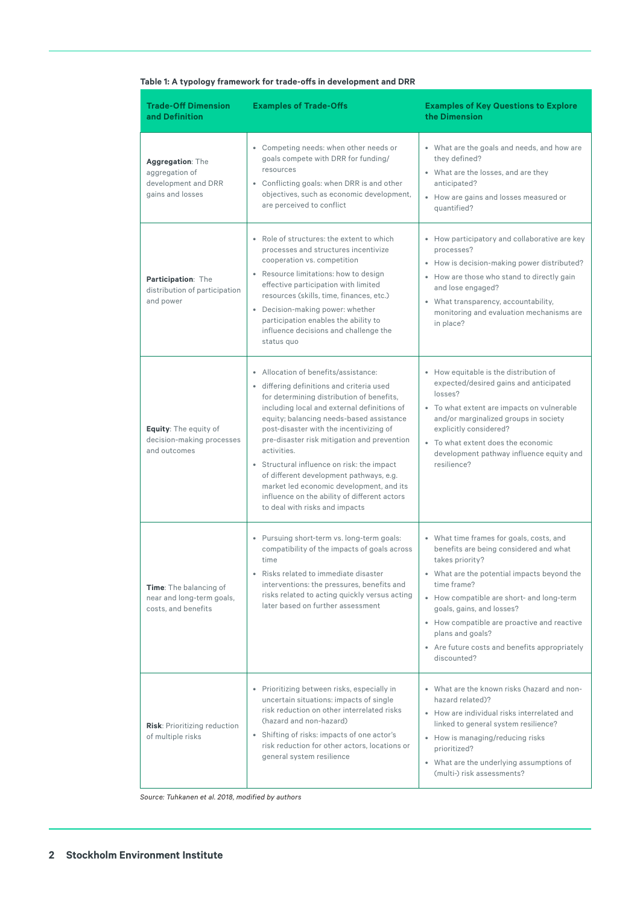| <b>Trade-Off Dimension</b><br>and Definition                                      | <b>Examples of Trade-Offs</b>                                                                                                                                                                                                                                                                                                                                                                                                                                                                                                                             | <b>Examples of Key Questions to Explore</b><br>the Dimension                                                                                                                                                                                                                                                                                                                     |
|-----------------------------------------------------------------------------------|-----------------------------------------------------------------------------------------------------------------------------------------------------------------------------------------------------------------------------------------------------------------------------------------------------------------------------------------------------------------------------------------------------------------------------------------------------------------------------------------------------------------------------------------------------------|----------------------------------------------------------------------------------------------------------------------------------------------------------------------------------------------------------------------------------------------------------------------------------------------------------------------------------------------------------------------------------|
| Aggregation: The<br>aggregation of<br>development and DRR<br>gains and losses     | • Competing needs: when other needs or<br>goals compete with DRR for funding/<br>resources<br>• Conflicting goals: when DRR is and other<br>objectives, such as economic development,<br>are perceived to conflict                                                                                                                                                                                                                                                                                                                                        | • What are the goals and needs, and how are<br>they defined?<br>• What are the losses, and are they<br>anticipated?<br>• How are gains and losses measured or<br>quantified?                                                                                                                                                                                                     |
| Participation: The<br>distribution of participation<br>and power                  | • Role of structures: the extent to which<br>processes and structures incentivize<br>cooperation vs. competition<br>• Resource limitations: how to design<br>effective participation with limited<br>resources (skills, time, finances, etc.)<br>• Decision-making power: whether<br>participation enables the ability to<br>influence decisions and challenge the<br>status quo                                                                                                                                                                          | • How participatory and collaborative are key<br>processes?<br>• How is decision-making power distributed?<br>• How are those who stand to directly gain<br>and lose engaged?<br>• What transparency, accountability,<br>monitoring and evaluation mechanisms are<br>in place?                                                                                                   |
| <b>Equity:</b> The equity of<br>decision-making processes<br>and outcomes         | • Allocation of benefits/assistance:<br>· differing definitions and criteria used<br>for determining distribution of benefits,<br>including local and external definitions of<br>equity; balancing needs-based assistance<br>post-disaster with the incentivizing of<br>pre-disaster risk mitigation and prevention<br>activities.<br>• Structural influence on risk: the impact<br>of different development pathways, e.g.<br>market led economic development, and its<br>influence on the ability of different actors<br>to deal with risks and impacts | • How equitable is the distribution of<br>expected/desired gains and anticipated<br>losses?<br>• To what extent are impacts on vulnerable<br>and/or marginalized groups in society<br>explicitly considered?<br>• To what extent does the economic<br>development pathway influence equity and<br>resilience?                                                                    |
| <b>Time:</b> The balancing of<br>near and long-term goals,<br>costs, and benefits | • Pursuing short-term vs. long-term goals:<br>compatibility of the impacts of goals across<br>time<br>Risks related to immediate disaster<br>interventions: the pressures, benefits and<br>risks related to acting quickly versus acting<br>later based on further assessment                                                                                                                                                                                                                                                                             | • What time frames for goals, costs, and<br>benefits are being considered and what<br>takes priority?<br>• What are the potential impacts beyond the<br>time frame?<br>• How compatible are short- and long-term<br>goals, gains, and losses?<br>• How compatible are proactive and reactive<br>plans and goals?<br>• Are future costs and benefits appropriately<br>discounted? |
| Risk: Prioritizing reduction<br>of multiple risks                                 | • Prioritizing between risks, especially in<br>uncertain situations: impacts of single<br>risk reduction on other interrelated risks<br>(hazard and non-hazard)<br>• Shifting of risks: impacts of one actor's<br>risk reduction for other actors, locations or<br>general system resilience                                                                                                                                                                                                                                                              | • What are the known risks (hazard and non-<br>hazard related)?<br>• How are individual risks interrelated and<br>linked to general system resilience?<br>• How is managing/reducing risks<br>prioritized?<br>• What are the underlying assumptions of<br>(multi-) risk assessments?                                                                                             |

## **Table 1: A typology framework for trade-offs in development and DRR**

*Source: Tuhkanen et al. 2018, modified by authors*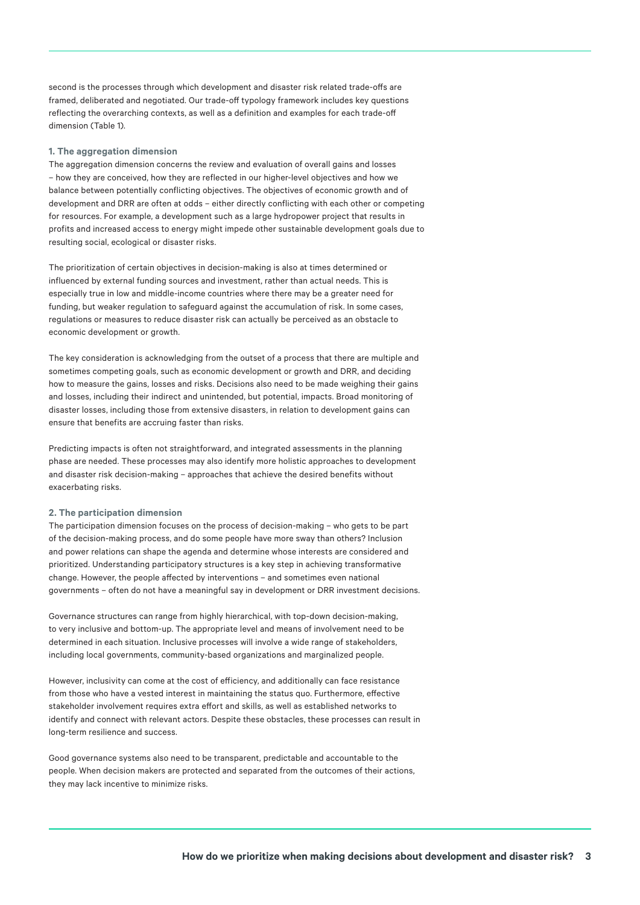second is the processes through which development and disaster risk related trade-offs are framed, deliberated and negotiated. Our trade-off typology framework includes key questions reflecting the overarching contexts, as well as a definition and examples for each trade-off dimension (Table 1).

#### **1. The aggregation dimension**

The aggregation dimension concerns the review and evaluation of overall gains and losses – how they are conceived, how they are reflected in our higher-level objectives and how we balance between potentially conflicting objectives. The objectives of economic growth and of development and DRR are often at odds – either directly conflicting with each other or competing for resources. For example, a development such as a large hydropower project that results in profits and increased access to energy might impede other sustainable development goals due to resulting social, ecological or disaster risks.

The prioritization of certain objectives in decision-making is also at times determined or influenced by external funding sources and investment, rather than actual needs. This is especially true in low and middle-income countries where there may be a greater need for funding, but weaker regulation to safeguard against the accumulation of risk. In some cases, regulations or measures to reduce disaster risk can actually be perceived as an obstacle to economic development or growth.

The key consideration is acknowledging from the outset of a process that there are multiple and sometimes competing goals, such as economic development or growth and DRR, and deciding how to measure the gains, losses and risks. Decisions also need to be made weighing their gains and losses, including their indirect and unintended, but potential, impacts. Broad monitoring of disaster losses, including those from extensive disasters, in relation to development gains can ensure that benefits are accruing faster than risks.

Predicting impacts is often not straightforward, and integrated assessments in the planning phase are needed. These processes may also identify more holistic approaches to development and disaster risk decision-making – approaches that achieve the desired benefits without exacerbating risks.

#### **2. The participation dimension**

The participation dimension focuses on the process of decision-making – who gets to be part of the decision-making process, and do some people have more sway than others? Inclusion and power relations can shape the agenda and determine whose interests are considered and prioritized. Understanding participatory structures is a key step in achieving transformative change. However, the people affected by interventions – and sometimes even national governments – often do not have a meaningful say in development or DRR investment decisions.

Governance structures can range from highly hierarchical, with top-down decision-making, to very inclusive and bottom-up. The appropriate level and means of involvement need to be determined in each situation. Inclusive processes will involve a wide range of stakeholders, including local governments, community-based organizations and marginalized people.

However, inclusivity can come at the cost of efficiency, and additionally can face resistance from those who have a vested interest in maintaining the status quo. Furthermore, effective stakeholder involvement requires extra effort and skills, as well as established networks to identify and connect with relevant actors. Despite these obstacles, these processes can result in long-term resilience and success.

Good governance systems also need to be transparent, predictable and accountable to the people. When decision makers are protected and separated from the outcomes of their actions, they may lack incentive to minimize risks.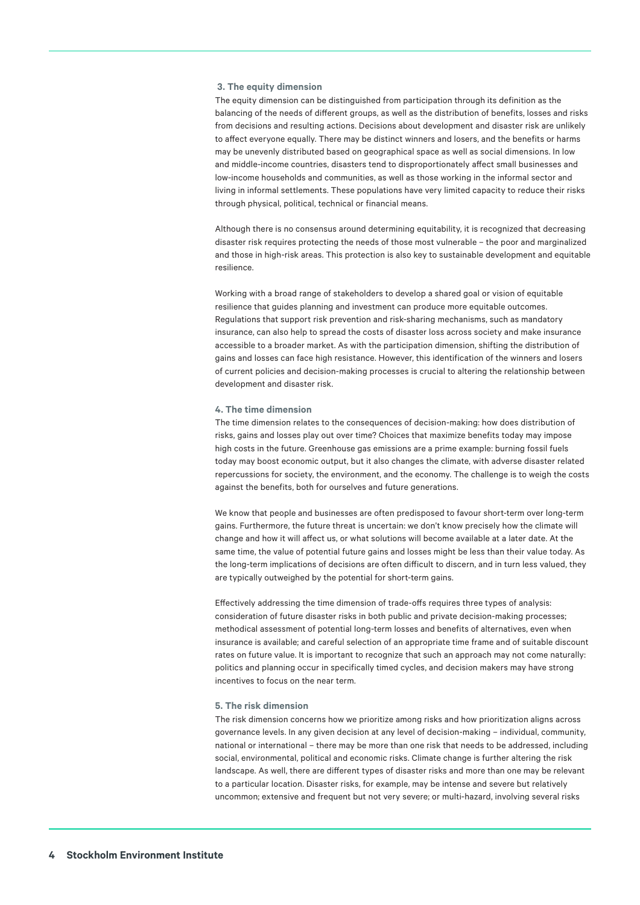#### **3. The equity dimension**

The equity dimension can be distinguished from participation through its definition as the balancing of the needs of different groups, as well as the distribution of benefits, losses and risks from decisions and resulting actions. Decisions about development and disaster risk are unlikely to affect everyone equally. There may be distinct winners and losers, and the benefits or harms may be unevenly distributed based on geographical space as well as social dimensions. In low and middle-income countries, disasters tend to disproportionately affect small businesses and low-income households and communities, as well as those working in the informal sector and living in informal settlements. These populations have very limited capacity to reduce their risks through physical, political, technical or financial means.

Although there is no consensus around determining equitability, it is recognized that decreasing disaster risk requires protecting the needs of those most vulnerable – the poor and marginalized and those in high-risk areas. This protection is also key to sustainable development and equitable resilience.

Working with a broad range of stakeholders to develop a shared goal or vision of equitable resilience that guides planning and investment can produce more equitable outcomes. Regulations that support risk prevention and risk-sharing mechanisms, such as mandatory insurance, can also help to spread the costs of disaster loss across society and make insurance accessible to a broader market. As with the participation dimension, shifting the distribution of gains and losses can face high resistance. However, this identification of the winners and losers of current policies and decision-making processes is crucial to altering the relationship between development and disaster risk.

#### **4. The time dimension**

The time dimension relates to the consequences of decision-making: how does distribution of risks, gains and losses play out over time? Choices that maximize benefits today may impose high costs in the future. Greenhouse gas emissions are a prime example: burning fossil fuels today may boost economic output, but it also changes the climate, with adverse disaster related repercussions for society, the environment, and the economy. The challenge is to weigh the costs against the benefits, both for ourselves and future generations.

We know that people and businesses are often predisposed to favour short-term over long-term gains. Furthermore, the future threat is uncertain: we don't know precisely how the climate will change and how it will affect us, or what solutions will become available at a later date. At the same time, the value of potential future gains and losses might be less than their value today. As the long-term implications of decisions are often difficult to discern, and in turn less valued, they are typically outweighed by the potential for short-term gains.

Effectively addressing the time dimension of trade-offs requires three types of analysis: consideration of future disaster risks in both public and private decision-making processes; methodical assessment of potential long-term losses and benefits of alternatives, even when insurance is available; and careful selection of an appropriate time frame and of suitable discount rates on future value. It is important to recognize that such an approach may not come naturally: politics and planning occur in specifically timed cycles, and decision makers may have strong incentives to focus on the near term.

#### **5. The risk dimension**

The risk dimension concerns how we prioritize among risks and how prioritization aligns across governance levels. In any given decision at any level of decision-making – individual, community, national or international – there may be more than one risk that needs to be addressed, including social, environmental, political and economic risks. Climate change is further altering the risk landscape. As well, there are different types of disaster risks and more than one may be relevant to a particular location. Disaster risks, for example, may be intense and severe but relatively uncommon; extensive and frequent but not very severe; or multi-hazard, involving several risks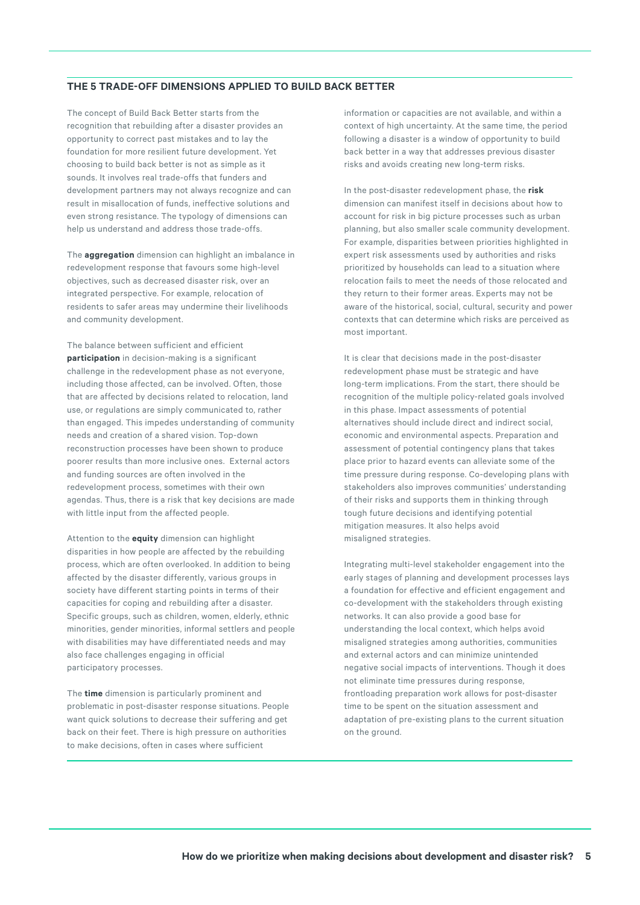### **THE 5 TRADE-OFF DIMENSIONS APPLIED TO BUILD BACK BETTER**

The concept of Build Back Better starts from the recognition that rebuilding after a disaster provides an opportunity to correct past mistakes and to lay the foundation for more resilient future development. Yet choosing to build back better is not as simple as it sounds. It involves real trade-offs that funders and development partners may not always recognize and can result in misallocation of funds, ineffective solutions and even strong resistance. The typology of dimensions can help us understand and address those trade-offs.

The **aggregation** dimension can highlight an imbalance in redevelopment response that favours some high-level objectives, such as decreased disaster risk, over an integrated perspective. For example, relocation of residents to safer areas may undermine their livelihoods and community development.

The balance between sufficient and efficient **participation** in decision-making is a significant challenge in the redevelopment phase as not everyone, including those affected, can be involved. Often, those that are affected by decisions related to relocation, land use, or regulations are simply communicated to, rather than engaged. This impedes understanding of community needs and creation of a shared vision. Top-down reconstruction processes have been shown to produce poorer results than more inclusive ones. External actors and funding sources are often involved in the redevelopment process, sometimes with their own agendas. Thus, there is a risk that key decisions are made with little input from the affected people.

Attention to the **equity** dimension can highlight disparities in how people are affected by the rebuilding process, which are often overlooked. In addition to being affected by the disaster differently, various groups in society have different starting points in terms of their capacities for coping and rebuilding after a disaster. Specific groups, such as children, women, elderly, ethnic minorities, gender minorities, informal settlers and people with disabilities may have differentiated needs and may also face challenges engaging in official participatory processes.

The **time** dimension is particularly prominent and problematic in post-disaster response situations. People want quick solutions to decrease their suffering and get back on their feet. There is high pressure on authorities to make decisions, often in cases where sufficient

information or capacities are not available, and within a context of high uncertainty. At the same time, the period following a disaster is a window of opportunity to build back better in a way that addresses previous disaster risks and avoids creating new long-term risks.

In the post-disaster redevelopment phase, the **risk** dimension can manifest itself in decisions about how to account for risk in big picture processes such as urban planning, but also smaller scale community development. For example, disparities between priorities highlighted in expert risk assessments used by authorities and risks prioritized by households can lead to a situation where relocation fails to meet the needs of those relocated and they return to their former areas. Experts may not be aware of the historical, social, cultural, security and power contexts that can determine which risks are perceived as most important.

It is clear that decisions made in the post-disaster redevelopment phase must be strategic and have long-term implications. From the start, there should be recognition of the multiple policy-related goals involved in this phase. Impact assessments of potential alternatives should include direct and indirect social, economic and environmental aspects. Preparation and assessment of potential contingency plans that takes place prior to hazard events can alleviate some of the time pressure during response. Co-developing plans with stakeholders also improves communities' understanding of their risks and supports them in thinking through tough future decisions and identifying potential mitigation measures. It also helps avoid misaligned strategies.

Integrating multi-level stakeholder engagement into the early stages of planning and development processes lays a foundation for effective and efficient engagement and co-development with the stakeholders through existing networks. It can also provide a good base for understanding the local context, which helps avoid misaligned strategies among authorities, communities and external actors and can minimize unintended negative social impacts of interventions. Though it does not eliminate time pressures during response, frontloading preparation work allows for post-disaster time to be spent on the situation assessment and adaptation of pre-existing plans to the current situation on the ground.